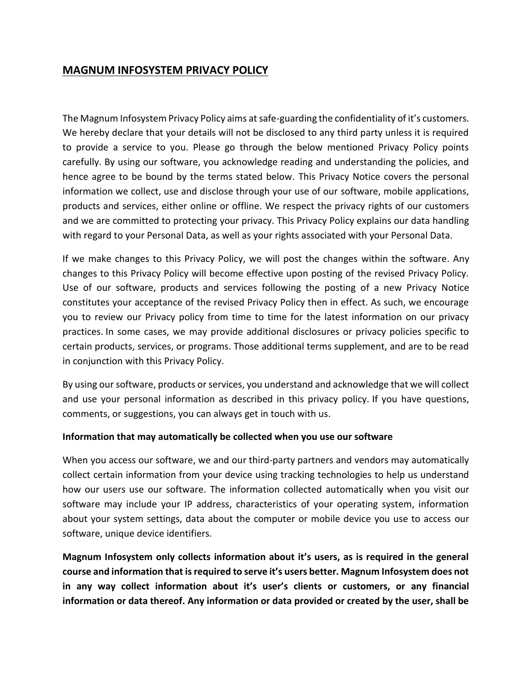# **MAGNUM INFOSYSTEM PRIVACY POLICY**

The Magnum Infosystem Privacy Policy aims at safe-guarding the confidentiality of it's customers. We hereby declare that your details will not be disclosed to any third party unless it is required to provide a service to you. Please go through the below mentioned Privacy Policy points carefully. By using our software, you acknowledge reading and understanding the policies, and hence agree to be bound by the terms stated below. This Privacy Notice covers the personal information we collect, use and disclose through your use of our software, mobile applications, products and services, either online or offline. We respect the privacy rights of our customers and we are committed to protecting your privacy. This Privacy Policy explains our data handling with regard to your Personal Data, as well as your rights associated with your Personal Data.

If we make changes to this Privacy Policy, we will post the changes within the software. Any changes to this Privacy Policy will become effective upon posting of the revised Privacy Policy. Use of our software, products and services following the posting of a new Privacy Notice constitutes your acceptance of the revised Privacy Policy then in effect. As such, we encourage you to review our Privacy policy from time to time for the latest information on our privacy practices. In some cases, we may provide additional disclosures or privacy policies specific to certain products, services, or programs. Those additional terms supplement, and are to be read in conjunction with this Privacy Policy.

By using our software, products or services, you understand and acknowledge that we will collect and use your personal information as described in this privacy policy. If you have questions, comments, or suggestions, you can always get in touch with us.

#### **Information that may automatically be collected when you use our software**

When you access our software, we and our third-party partners and vendors may automatically collect certain information from your device using tracking technologies to help us understand how our users use our software. The information collected automatically when you visit our software may include your IP address, characteristics of your operating system, information about your system settings, data about the computer or mobile device you use to access our software, unique device identifiers.

**Magnum Infosystem only collects information about it's users, as is required in the general course and information that is required to serve it's users better. Magnum Infosystem does not in any way collect information about it's user's clients or customers, or any financial information or data thereof. Any information or data provided or created by the user, shall be**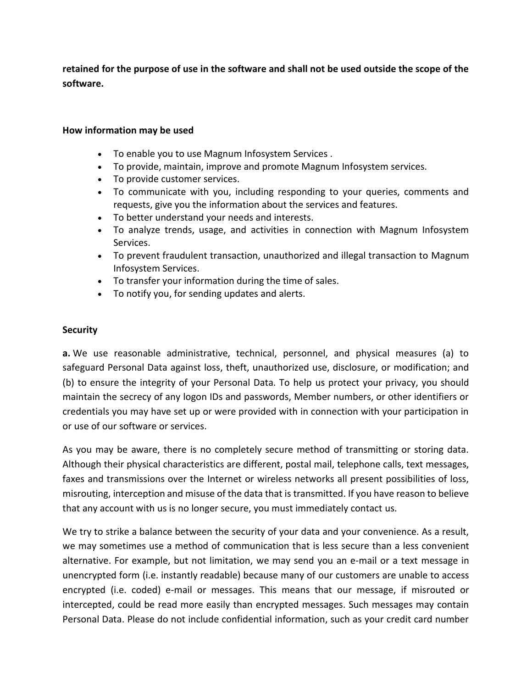**retained for the purpose of use in the software and shall not be used outside the scope of the software.**

#### **How information may be used**

- To enable you to use Magnum Infosystem Services .
- To provide, maintain, improve and promote Magnum Infosystem services.
- To provide customer services.
- To communicate with you, including responding to your queries, comments and requests, give you the information about the services and features.
- To better understand your needs and interests.
- To analyze trends, usage, and activities in connection with Magnum Infosystem Services.
- To prevent fraudulent transaction, unauthorized and illegal transaction to Magnum Infosystem Services.
- To transfer your information during the time of sales.
- To notify you, for sending updates and alerts.

### **Security**

**a.** We use reasonable administrative, technical, personnel, and physical measures (a) to safeguard Personal Data against loss, theft, unauthorized use, disclosure, or modification; and (b) to ensure the integrity of your Personal Data. To help us protect your privacy, you should maintain the secrecy of any logon IDs and passwords, Member numbers, or other identifiers or credentials you may have set up or were provided with in connection with your participation in or use of our software or services.

As you may be aware, there is no completely secure method of transmitting or storing data. Although their physical characteristics are different, postal mail, telephone calls, text messages, faxes and transmissions over the Internet or wireless networks all present possibilities of loss, misrouting, interception and misuse of the data that is transmitted. If you have reason to believe that any account with us is no longer secure, you must immediately contact us.

We try to strike a balance between the security of your data and your convenience. As a result, we may sometimes use a method of communication that is less secure than a less convenient alternative. For example, but not limitation, we may send you an e-mail or a text message in unencrypted form (i.e. instantly readable) because many of our customers are unable to access encrypted (i.e. coded) e-mail or messages. This means that our message, if misrouted or intercepted, could be read more easily than encrypted messages. Such messages may contain Personal Data. Please do not include confidential information, such as your credit card number